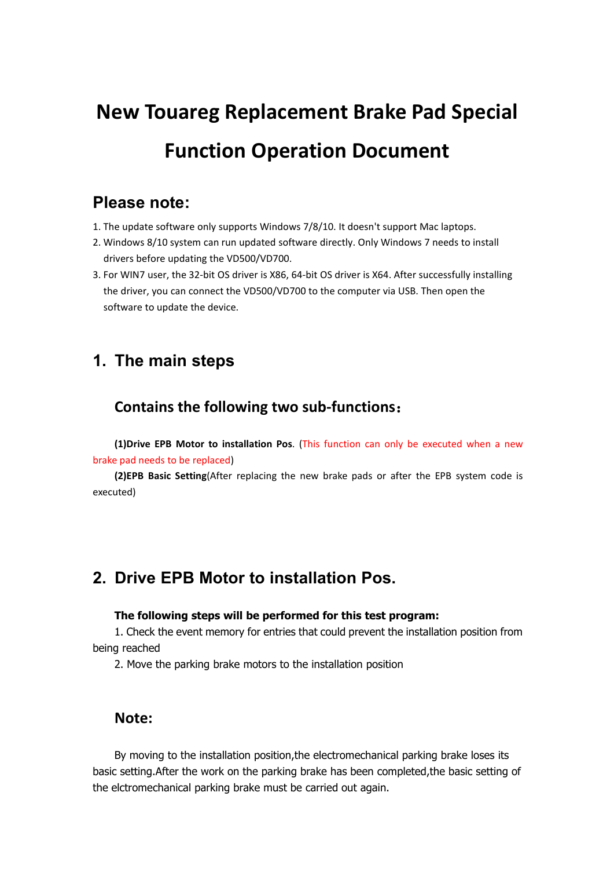# **New Touareg Replacement Brake Pad Special Function Operation Document**

# **Please note:**

- 1. The update software only supports Windows 7/8/10. It doesn't support Mac laptops.
- 2. Windows 8/10 system can run updated software directly. Only Windows 7 needs to install drivers before updating the VD500/VD700.
- 3. For WIN7 user, the 32-bit OS driver is X86, 64-bit OS driver is X64. After successfully installing the driver, you can connect the VD500/VD700 to the computer via USB. Then open the software to update the device.

# **1. The main steps**

## **Contains the following two sub-functions**:

**(1)Drive EPB Motor to installation Pos**. (This function can only be executed when anew brake pad needs to be replaced)

**(2)EPB Basic Setting**(After replacing the new brake pads or after the EPB system code is executed)

# **2. Drive EPB Motor to installation Pos.**

### **The following steps will be performed for this test program:**

1. Check the event memory for entries that could prevent the installation position from being reached

2. Move the parking brake motors to the installation position

## **Note:**

By moving to the installation position,the electromechanical parking brake loses its basic setting.After the work on the parking brake has been completed,the basic setting of the elctromechanical parking brake must be carried out again.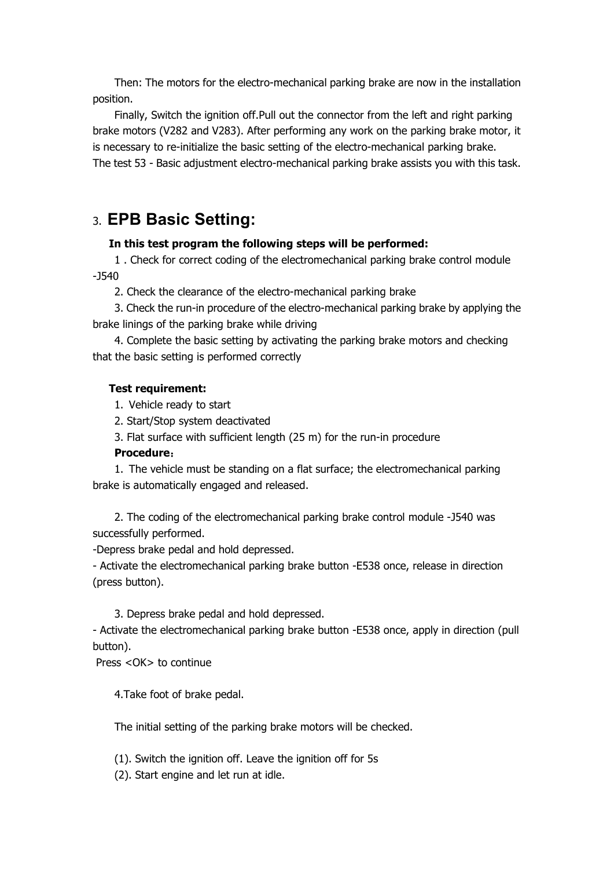Then: The motors for the electro-mechanical parking brake are now in the installation position.

Finally, Switch the ignition off.Pull out the connector from the left and right parking brake motors (V282 and V283). After performing any work on the parking brake motor, it is necessary to re-initialize the basic setting of the electro-mechanical parking brake. The test 53 - Basic adjustment electro-mechanical parking brake assists you with this task.

## 3. **EPB Basic Setting:**

### **In this test program the following steps will be performed:**

1 . Check for correct coding of the electromechanical parking brake controlmodule -J540

2. Check the clearance of the electro-mechanical parking brake

3. Check the run-in procedure of the electro-mechanical parking brake by applying the brake linings of the parking brake while driving

4. Complete the basic setting by activating the parking brake motors and checking that the basic setting is performed correctly

## **Test requirement:**

1. Vehicle ready to start

2. Start/Stop system deactivated

3. Flat surface with sufficient length (25 m) for the run-in procedure

### **Procedure**:

1. The vehicle must be standing on a flat surface; the electromechanical parking brake is automatically engaged and released.

2. The coding of the electromechanical parking brake control module -J540 was successfully performed.

-Depress brake pedal and hold depressed.

- Activate the electromechanical parking brake button -E538 once, release in direction (press button).

3. Depress brake pedal and hold depressed.

- Activate the electromechanical parking brake button -E538 once, apply in direction (pull button).

Press <OK> to continue

4.Take foot of brake pedal.

The initial setting of the parking brake motors will be checked.

(1). Switch the ignition off. Leave the ignition off for 5s

(2). Start engine and let run at idle.